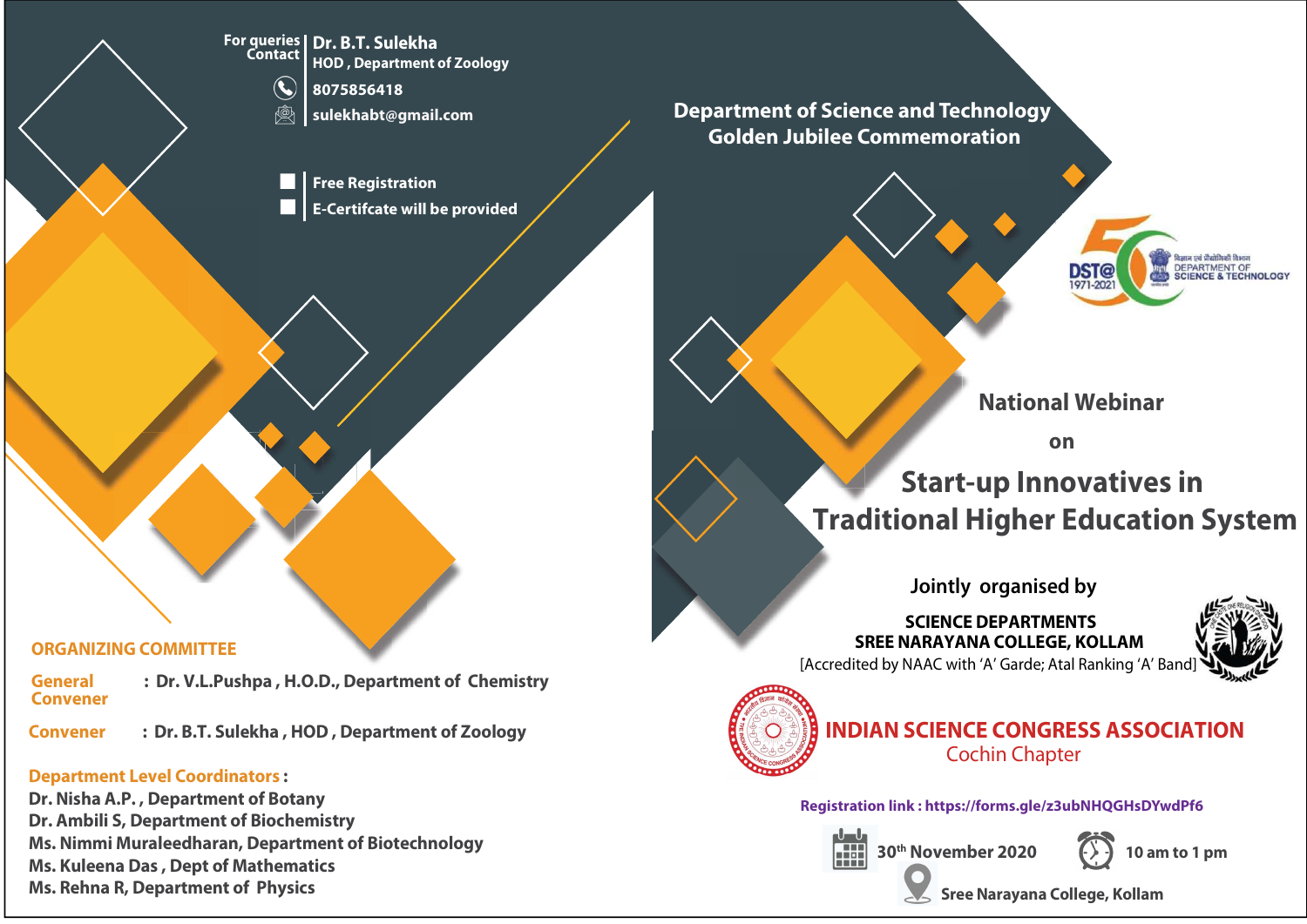For queries Dr. B.T. Sulekha HOD , Department of Zoology

8075856418

sulekhabt@gmail.com

Free Registration E-Certifcate will be provided

### Department of Science and Technology Golden Jubilee Commemoration



National Webinar

on

# Start-up Innovatives in Traditional Higher Education System

Jointly organised by

SREE NARAYANA COLLEGE, KOLLAM [Accredited by NAAC with 'A' Garde; Atal Ranking 'A' Band] SCIENCE DEPARTMENTS





## INDIAN SCIENCE CONGRESS ASSOCIATION Cochin Chapter

Registration link : https://forms.gle/z3ubNHQGHsDYwdPf6





 $30<sup>th</sup>$  November 2020  $(1)$  10 am to 1 pm

Sree Narayana College, Kollam

#### ORGANIZING COMMITTEE

Convener General : Dr. V.L.Pushpa, H.O.D., Department of Chemistry

Convener : Dr. B.T. Sulekha , HOD , Department of Zoology

#### Department Level Coordinators :

Dr. Nisha A.P. , Department of Botany Dr. Ambili S, Department of Biochemistry Ms. Nimmi Muraleedharan, Department of Biotechnology Ms. Kuleena Das , Dept of Mathematics Ms. Rehna R, Department of Physics